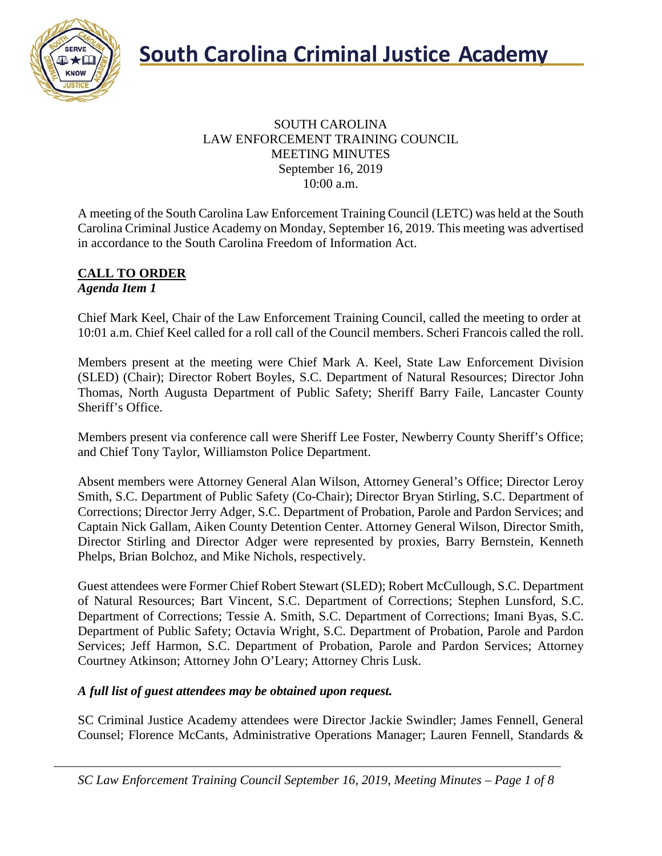

### SOUTH CAROLINA LAW ENFORCEMENT TRAINING COUNCIL MEETING MINUTES September 16, 2019 10:00 a.m.

A meeting of the South Carolina Law Enforcement Training Council (LETC) was held at the South Carolina Criminal Justice Academy on Monday, September 16, 2019. This meeting was advertised in accordance to the South Carolina Freedom of Information Act.

### **CALL TO ORDER** *Agenda Item 1*

Chief Mark Keel, Chair of the Law Enforcement Training Council, called the meeting to order at 10:01 a.m. Chief Keel called for a roll call of the Council members. Scheri Francois called the roll.

Members present at the meeting were Chief Mark A. Keel, State Law Enforcement Division (SLED) (Chair); Director Robert Boyles, S.C. Department of Natural Resources; Director John Thomas, North Augusta Department of Public Safety; Sheriff Barry Faile, Lancaster County Sheriff's Office.

Members present via conference call were Sheriff Lee Foster, Newberry County Sheriff's Office; and Chief Tony Taylor, Williamston Police Department.

Absent members were Attorney General Alan Wilson, Attorney General's Office; Director Leroy Smith, S.C. Department of Public Safety (Co-Chair); Director Bryan Stirling, S.C. Department of Corrections; Director Jerry Adger, S.C. Department of Probation, Parole and Pardon Services; and Captain Nick Gallam, Aiken County Detention Center. Attorney General Wilson, Director Smith, Director Stirling and Director Adger were represented by proxies, Barry Bernstein, Kenneth Phelps, Brian Bolchoz, and Mike Nichols, respectively.

Guest attendees were Former Chief Robert Stewart (SLED); Robert McCullough, S.C. Department of Natural Resources; Bart Vincent, S.C. Department of Corrections; Stephen Lunsford, S.C. Department of Corrections; Tessie A. Smith, S.C. Department of Corrections; Imani Byas, S.C. Department of Public Safety; Octavia Wright, S.C. Department of Probation, Parole and Pardon Services; Jeff Harmon, S.C. Department of Probation, Parole and Pardon Services; Attorney Courtney Atkinson; Attorney John O'Leary; Attorney Chris Lusk.

### *A full list of guest attendees may be obtained upon request.*

SC Criminal Justice Academy attendees were Director Jackie Swindler; James Fennell, General Counsel; Florence McCants, Administrative Operations Manager; Lauren Fennell, Standards &

*SC Law Enforcement Training Council September 16, 2019, Meeting Minutes – Page 1 of 8*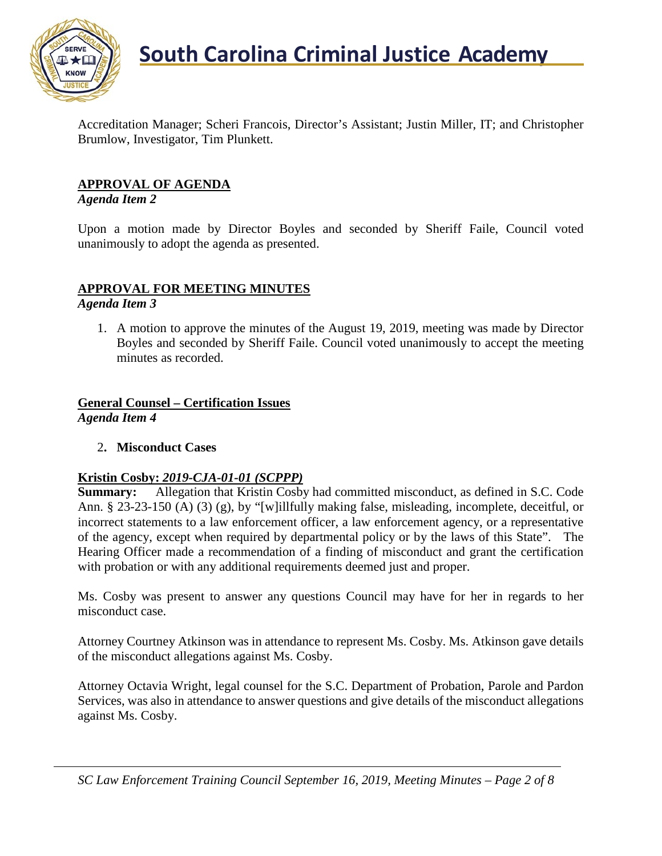

Accreditation Manager; Scheri Francois, Director's Assistant; Justin Miller, IT; and Christopher Brumlow, Investigator, Tim Plunkett.

### **APPROVAL OF AGENDA**

### *Agenda Item 2*

Upon a motion made by Director Boyles and seconded by Sheriff Faile, Council voted unanimously to adopt the agenda as presented.

### **APPROVAL FOR MEETING MINUTES**

*Agenda Item 3*

1. A motion to approve the minutes of the August 19, 2019, meeting was made by Director Boyles and seconded by Sheriff Faile. Council voted unanimously to accept the meeting minutes as recorded.

### **General Counsel – Certification Issues**

*Agenda Item 4*

2**. Misconduct Cases**

### **Kristin Cosby:** *2019-CJA-01-01 (SCPPP)*

**Summary:** Allegation that Kristin Cosby had committed misconduct, as defined in S.C. Code Ann. § 23-23-150 (A) (3) (g), by "[w]illfully making false, misleading, incomplete, deceitful, or incorrect statements to a law enforcement officer, a law enforcement agency, or a representative of the agency, except when required by departmental policy or by the laws of this State". The Hearing Officer made a recommendation of a finding of misconduct and grant the certification with probation or with any additional requirements deemed just and proper.

Ms. Cosby was present to answer any questions Council may have for her in regards to her misconduct case.

Attorney Courtney Atkinson was in attendance to represent Ms. Cosby. Ms. Atkinson gave details of the misconduct allegations against Ms. Cosby.

Attorney Octavia Wright, legal counsel for the S.C. Department of Probation, Parole and Pardon Services, was also in attendance to answer questions and give details of the misconduct allegations against Ms. Cosby.

*SC Law Enforcement Training Council September 16, 2019, Meeting Minutes – Page 2 of 8*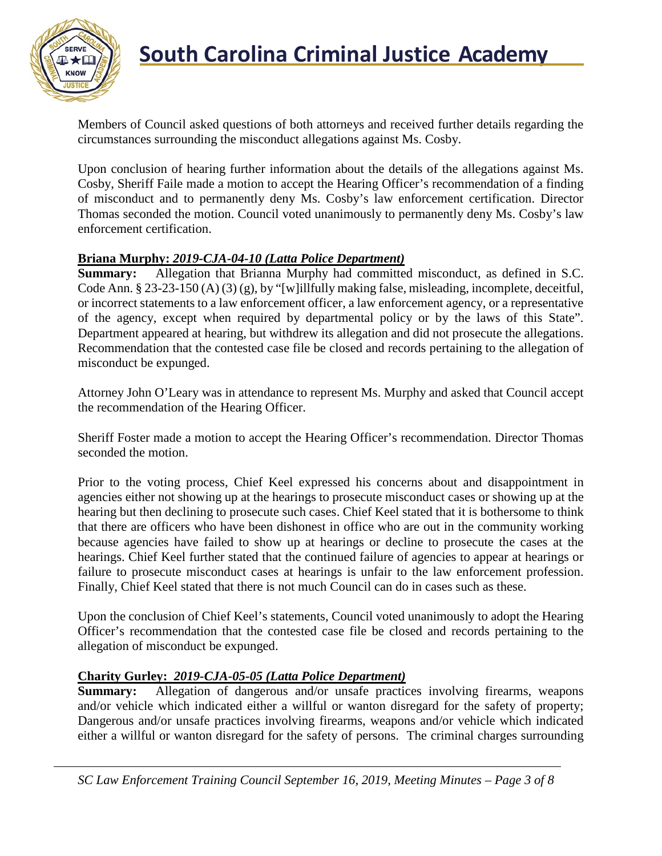

Members of Council asked questions of both attorneys and received further details regarding the circumstances surrounding the misconduct allegations against Ms. Cosby.

Upon conclusion of hearing further information about the details of the allegations against Ms. Cosby, Sheriff Faile made a motion to accept the Hearing Officer's recommendation of a finding of misconduct and to permanently deny Ms. Cosby's law enforcement certification. Director Thomas seconded the motion. Council voted unanimously to permanently deny Ms. Cosby's law enforcement certification.

### **Briana Murphy:** *2019-CJA-04-10 (Latta Police Department)*

**Summary:** Allegation that Brianna Murphy had committed misconduct, as defined in S.C. Code Ann. § 23-23-150 (A) (3) (g), by "[w]illfully making false, misleading, incomplete, deceitful, or incorrect statements to a law enforcement officer, a law enforcement agency, or a representative of the agency, except when required by departmental policy or by the laws of this State". Department appeared at hearing, but withdrew its allegation and did not prosecute the allegations. Recommendation that the contested case file be closed and records pertaining to the allegation of misconduct be expunged.

Attorney John O'Leary was in attendance to represent Ms. Murphy and asked that Council accept the recommendation of the Hearing Officer.

Sheriff Foster made a motion to accept the Hearing Officer's recommendation. Director Thomas seconded the motion.

Prior to the voting process, Chief Keel expressed his concerns about and disappointment in agencies either not showing up at the hearings to prosecute misconduct cases or showing up at the hearing but then declining to prosecute such cases. Chief Keel stated that it is bothersome to think that there are officers who have been dishonest in office who are out in the community working because agencies have failed to show up at hearings or decline to prosecute the cases at the hearings. Chief Keel further stated that the continued failure of agencies to appear at hearings or failure to prosecute misconduct cases at hearings is unfair to the law enforcement profession. Finally, Chief Keel stated that there is not much Council can do in cases such as these.

Upon the conclusion of Chief Keel's statements, Council voted unanimously to adopt the Hearing Officer's recommendation that the contested case file be closed and records pertaining to the allegation of misconduct be expunged.

### **Charity Gurley:** *2019-CJA-05-05 (Latta Police Department)*

**Summary:** Allegation of dangerous and/or unsafe practices involving firearms, weapons and/or vehicle which indicated either a willful or wanton disregard for the safety of property; Dangerous and/or unsafe practices involving firearms, weapons and/or vehicle which indicated either a willful or wanton disregard for the safety of persons. The criminal charges surrounding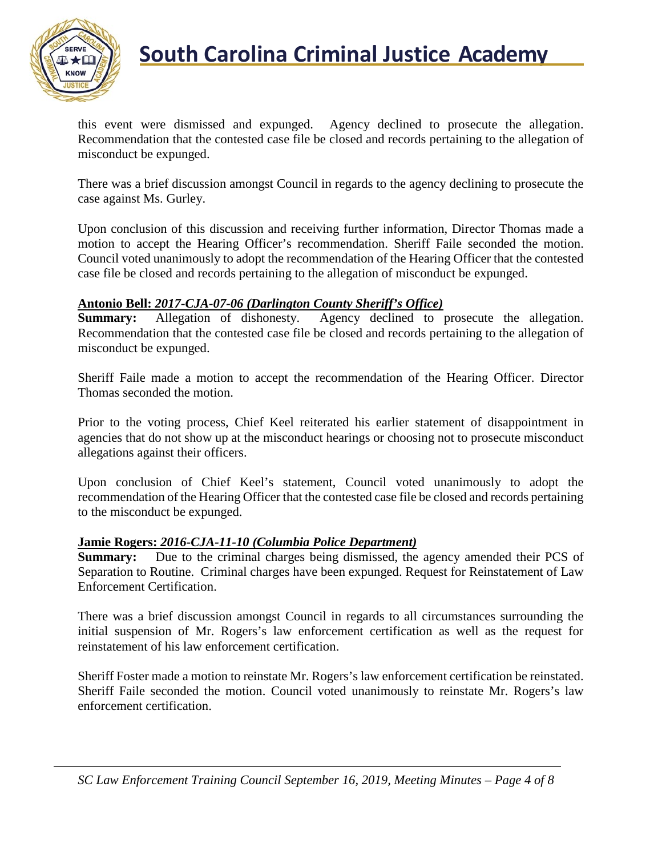

## **South Carolina Criminal Justice Academy**

this event were dismissed and expunged. Agency declined to prosecute the allegation. Recommendation that the contested case file be closed and records pertaining to the allegation of misconduct be expunged.

There was a brief discussion amongst Council in regards to the agency declining to prosecute the case against Ms. Gurley.

Upon conclusion of this discussion and receiving further information, Director Thomas made a motion to accept the Hearing Officer's recommendation. Sheriff Faile seconded the motion. Council voted unanimously to adopt the recommendation of the Hearing Officer that the contested case file be closed and records pertaining to the allegation of misconduct be expunged.

### **Antonio Bell:** *2017-CJA-07-06 (Darlington County Sheriff's Office)*

**Summary:** Allegation of dishonesty. Agency declined to prosecute the allegation. Recommendation that the contested case file be closed and records pertaining to the allegation of misconduct be expunged.

Sheriff Faile made a motion to accept the recommendation of the Hearing Officer. Director Thomas seconded the motion.

Prior to the voting process, Chief Keel reiterated his earlier statement of disappointment in agencies that do not show up at the misconduct hearings or choosing not to prosecute misconduct allegations against their officers.

Upon conclusion of Chief Keel's statement, Council voted unanimously to adopt the recommendation of the Hearing Officer that the contested case file be closed and records pertaining to the misconduct be expunged.

### **Jamie Rogers:** *2016-CJA-11-10 (Columbia Police Department)*

**Summary:** Due to the criminal charges being dismissed, the agency amended their PCS of Separation to Routine. Criminal charges have been expunged. Request for Reinstatement of Law Enforcement Certification.

There was a brief discussion amongst Council in regards to all circumstances surrounding the initial suspension of Mr. Rogers's law enforcement certification as well as the request for reinstatement of his law enforcement certification.

Sheriff Foster made a motion to reinstate Mr. Rogers's law enforcement certification be reinstated. Sheriff Faile seconded the motion. Council voted unanimously to reinstate Mr. Rogers's law enforcement certification.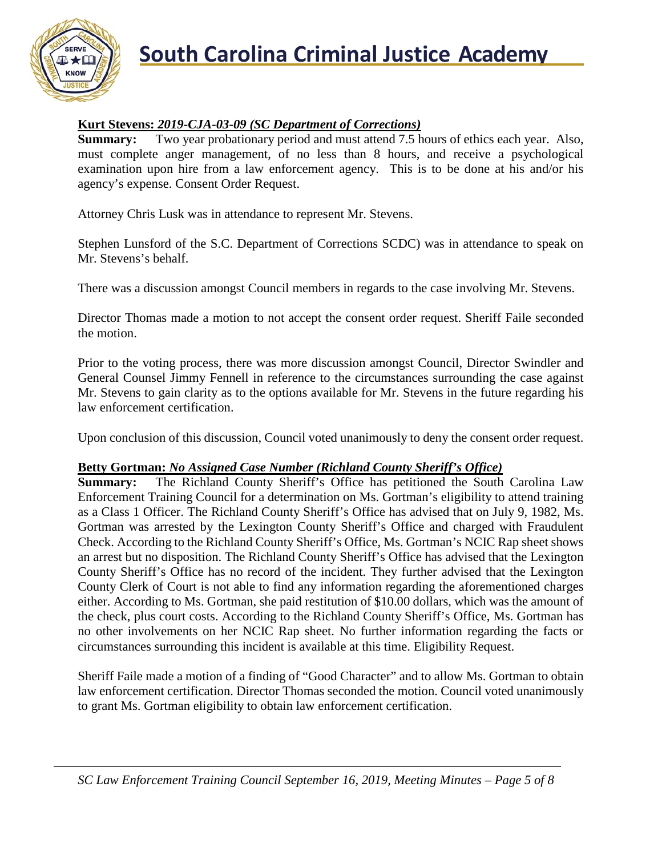

## **South Carolina Criminal Justice Academy**<br>KNOW 2008

### **Kurt Stevens:** *2019-CJA-03-09 (SC Department of Corrections)*

**Summary:** Two year probationary period and must attend 7.5 hours of ethics each year. Also, must complete anger management, of no less than 8 hours, and receive a psychological examination upon hire from a law enforcement agency. This is to be done at his and/or his agency's expense. Consent Order Request.

Attorney Chris Lusk was in attendance to represent Mr. Stevens.

Stephen Lunsford of the S.C. Department of Corrections SCDC) was in attendance to speak on Mr. Stevens's behalf.

There was a discussion amongst Council members in regards to the case involving Mr. Stevens.

Director Thomas made a motion to not accept the consent order request. Sheriff Faile seconded the motion.

Prior to the voting process, there was more discussion amongst Council, Director Swindler and General Counsel Jimmy Fennell in reference to the circumstances surrounding the case against Mr. Stevens to gain clarity as to the options available for Mr. Stevens in the future regarding his law enforcement certification.

Upon conclusion of this discussion, Council voted unanimously to deny the consent order request.

### **Betty Gortman:** *No Assigned Case Number (Richland County Sheriff's Office)*

**Summary:** The Richland County Sheriff's Office has petitioned the South Carolina Law Enforcement Training Council for a determination on Ms. Gortman's eligibility to attend training as a Class 1 Officer. The Richland County Sheriff's Office has advised that on July 9, 1982, Ms. Gortman was arrested by the Lexington County Sheriff's Office and charged with Fraudulent Check. According to the Richland County Sheriff's Office, Ms. Gortman's NCIC Rap sheet shows an arrest but no disposition. The Richland County Sheriff's Office has advised that the Lexington County Sheriff's Office has no record of the incident. They further advised that the Lexington County Clerk of Court is not able to find any information regarding the aforementioned charges either. According to Ms. Gortman, she paid restitution of \$10.00 dollars, which was the amount of the check, plus court costs. According to the Richland County Sheriff's Office, Ms. Gortman has no other involvements on her NCIC Rap sheet. No further information regarding the facts or circumstances surrounding this incident is available at this time. Eligibility Request.

Sheriff Faile made a motion of a finding of "Good Character" and to allow Ms. Gortman to obtain law enforcement certification. Director Thomas seconded the motion. Council voted unanimously to grant Ms. Gortman eligibility to obtain law enforcement certification.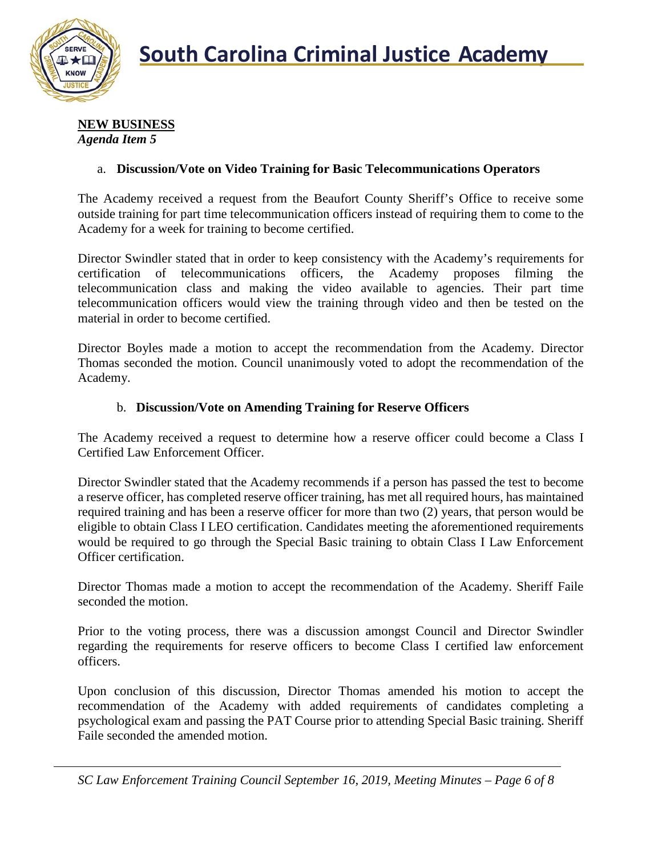

#### **NEW BUSINESS** *Agenda Item 5*

### a. **Discussion/Vote on Video Training for Basic Telecommunications Operators**

The Academy received a request from the Beaufort County Sheriff's Office to receive some outside training for part time telecommunication officers instead of requiring them to come to the Academy for a week for training to become certified.

Director Swindler stated that in order to keep consistency with the Academy's requirements for certification of telecommunications officers, the Academy proposes filming the telecommunication class and making the video available to agencies. Their part time telecommunication officers would view the training through video and then be tested on the material in order to become certified.

Director Boyles made a motion to accept the recommendation from the Academy. Director Thomas seconded the motion. Council unanimously voted to adopt the recommendation of the Academy.

#### b. **Discussion/Vote on Amending Training for Reserve Officers**

The Academy received a request to determine how a reserve officer could become a Class I Certified Law Enforcement Officer.

Director Swindler stated that the Academy recommends if a person has passed the test to become a reserve officer, has completed reserve officer training, has met all required hours, has maintained required training and has been a reserve officer for more than two (2) years, that person would be eligible to obtain Class I LEO certification. Candidates meeting the aforementioned requirements would be required to go through the Special Basic training to obtain Class I Law Enforcement Officer certification.

Director Thomas made a motion to accept the recommendation of the Academy. Sheriff Faile seconded the motion.

Prior to the voting process, there was a discussion amongst Council and Director Swindler regarding the requirements for reserve officers to become Class I certified law enforcement officers.

Upon conclusion of this discussion, Director Thomas amended his motion to accept the recommendation of the Academy with added requirements of candidates completing a psychological exam and passing the PAT Course prior to attending Special Basic training. Sheriff Faile seconded the amended motion.

*SC Law Enforcement Training Council September 16, 2019, Meeting Minutes – Page 6 of 8*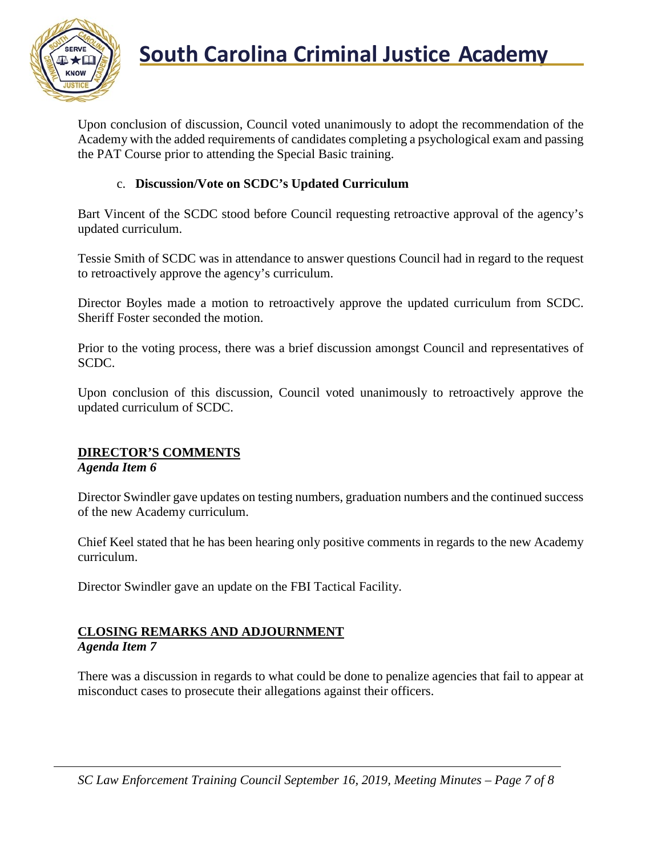

Upon conclusion of discussion, Council voted unanimously to adopt the recommendation of the Academy with the added requirements of candidates completing a psychological exam and passing the PAT Course prior to attending the Special Basic training.

### c. **Discussion/Vote on SCDC's Updated Curriculum**

Bart Vincent of the SCDC stood before Council requesting retroactive approval of the agency's updated curriculum.

Tessie Smith of SCDC was in attendance to answer questions Council had in regard to the request to retroactively approve the agency's curriculum.

Director Boyles made a motion to retroactively approve the updated curriculum from SCDC. Sheriff Foster seconded the motion.

Prior to the voting process, there was a brief discussion amongst Council and representatives of SCDC.

Upon conclusion of this discussion, Council voted unanimously to retroactively approve the updated curriculum of SCDC.

### **DIRECTOR'S COMMENTS**

#### *Agenda Item 6*

Director Swindler gave updates on testing numbers, graduation numbers and the continued success of the new Academy curriculum.

Chief Keel stated that he has been hearing only positive comments in regards to the new Academy curriculum.

Director Swindler gave an update on the FBI Tactical Facility.

### **CLOSING REMARKS AND ADJOURNMENT**

### *Agenda Item 7*

There was a discussion in regards to what could be done to penalize agencies that fail to appear at misconduct cases to prosecute their allegations against their officers.